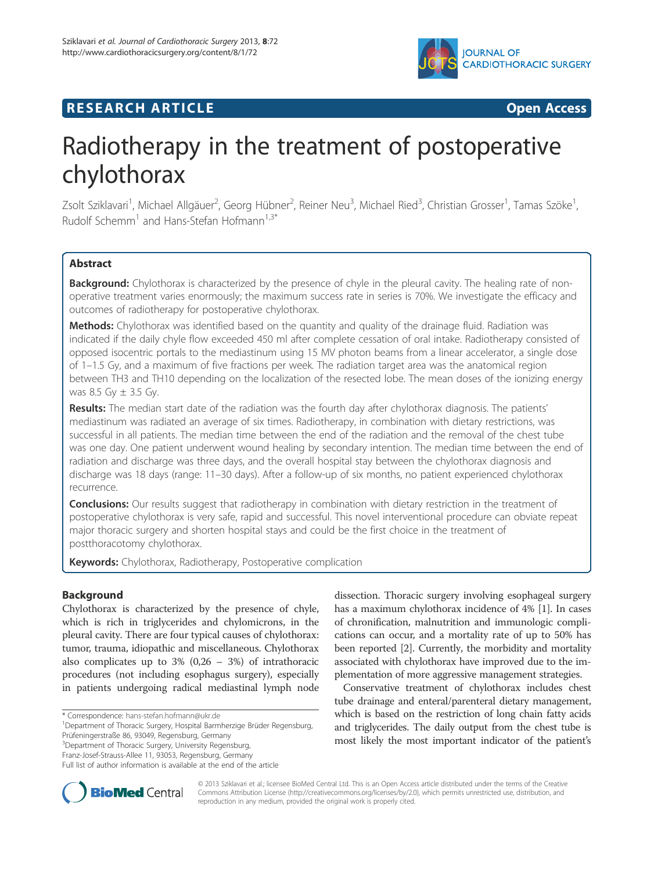

# **RESEARCH ARTICLE Example 2014 CONSIDERING CONSIDERING CONSIDERING CONSIDERING CONSIDERING CONSIDERING CONSIDERING CONSIDERING CONSIDERING CONSIDERING CONSIDERING CONSIDERING CONSIDERING CONSIDERING CONSIDERING CONSIDE**

# Radiotherapy in the treatment of postoperative chylothorax

Zsolt Sziklavari<sup>1</sup>, Michael Allgäuer<sup>2</sup>, Georg Hübner<sup>2</sup>, Reiner Neu<sup>3</sup>, Michael Ried<sup>3</sup>, Christian Grosser<sup>1</sup>, Tamas Szöke<sup>1</sup> , Rudolf Schemm<sup>1</sup> and Hans-Stefan Hofmann<sup>1,3\*</sup>

## **Abstract**

Background: Chylothorax is characterized by the presence of chyle in the pleural cavity. The healing rate of nonoperative treatment varies enormously; the maximum success rate in series is 70%. We investigate the efficacy and outcomes of radiotherapy for postoperative chylothorax.

Methods: Chylothorax was identified based on the quantity and quality of the drainage fluid. Radiation was indicated if the daily chyle flow exceeded 450 ml after complete cessation of oral intake. Radiotherapy consisted of opposed isocentric portals to the mediastinum using 15 MV photon beams from a linear accelerator, a single dose of 1–1.5 Gy, and a maximum of five fractions per week. The radiation target area was the anatomical region between TH3 and TH10 depending on the localization of the resected lobe. The mean doses of the ionizing energy was 8.5 Gy  $\pm$  3.5 Gy.

Results: The median start date of the radiation was the fourth day after chylothorax diagnosis. The patients' mediastinum was radiated an average of six times. Radiotherapy, in combination with dietary restrictions, was successful in all patients. The median time between the end of the radiation and the removal of the chest tube was one day. One patient underwent wound healing by secondary intention. The median time between the end of radiation and discharge was three days, and the overall hospital stay between the chylothorax diagnosis and discharge was 18 days (range: 11–30 days). After a follow-up of six months, no patient experienced chylothorax recurrence.

Conclusions: Our results suggest that radiotherapy in combination with dietary restriction in the treatment of postoperative chylothorax is very safe, rapid and successful. This novel interventional procedure can obviate repeat major thoracic surgery and shorten hospital stays and could be the first choice in the treatment of postthoracotomy chylothorax.

Keywords: Chylothorax, Radiotherapy, Postoperative complication

#### **Background**

Chylothorax is characterized by the presence of chyle, which is rich in triglycerides and chylomicrons, in the pleural cavity. There are four typical causes of chylothorax: tumor, trauma, idiopathic and miscellaneous. Chylothorax also complicates up to  $3\%$  (0,26 –  $3\%$ ) of intrathoracic procedures (not including esophagus surgery), especially in patients undergoing radical mediastinal lymph node

<sup>3</sup>Department of Thoracic Surgery, University Regensburg,

dissection. Thoracic surgery involving esophageal surgery has a maximum chylothorax incidence of 4% [1]. In cases of chronification, malnutrition and immunologic complications can occur, and a mortality rate of up to 50% has been reported [2]. Currently, the morbidity and mortality associated with chylothorax have improved due to the implementation of more aggressive management strategies.

Conservative treatment of chylothorax includes chest tube drainage and enteral/parenteral dietary management, which is based on the restriction of long chain fatty acids and triglycerides. The daily output from the chest tube is most likely the most important indicator of the patient's



© 2013 Sziklavari et al.; licensee BioMed Central Ltd. This is an Open Access article distributed under the terms of the Creative Commons Attribution License (http://creativecommons.org/licenses/by/2.0), which permits unrestricted use, distribution, and reproduction in any medium, provided the original work is properly cited.

<sup>\*</sup> Correspondence: hans-stefan.hofmann@ukr.de <sup>1</sup>

<sup>&</sup>lt;sup>1</sup>Department of Thoracic Surgery, Hospital Barmherzige Brüder Regensburg, Prüfeningerstraße 86, 93049, Regensburg, Germany

Franz-Josef-Strauss-Allee 11, 93053, Regensburg, Germany

Full list of author information is available at the end of the article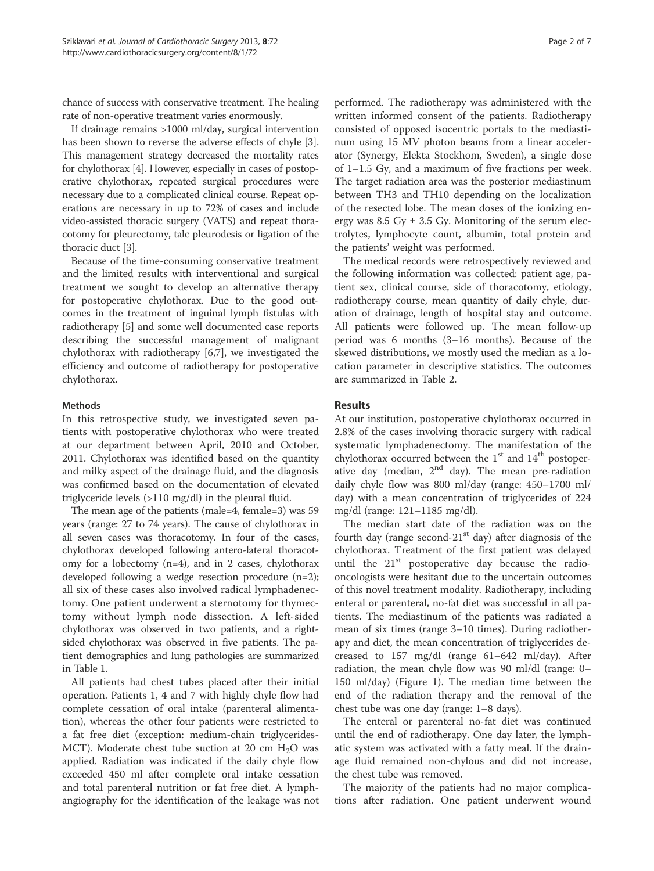chance of success with conservative treatment. The healing rate of non-operative treatment varies enormously.

If drainage remains >1000 ml/day, surgical intervention has been shown to reverse the adverse effects of chyle [3]. This management strategy decreased the mortality rates for chylothorax [4]. However, especially in cases of postoperative chylothorax, repeated surgical procedures were necessary due to a complicated clinical course. Repeat operations are necessary in up to 72% of cases and include video-assisted thoracic surgery (VATS) and repeat thoracotomy for pleurectomy, talc pleurodesis or ligation of the thoracic duct [3].

Because of the time-consuming conservative treatment and the limited results with interventional and surgical treatment we sought to develop an alternative therapy for postoperative chylothorax. Due to the good outcomes in the treatment of inguinal lymph fistulas with radiotherapy [5] and some well documented case reports describing the successful management of malignant chylothorax with radiotherapy [6,7], we investigated the efficiency and outcome of radiotherapy for postoperative chylothorax.

#### Methods

In this retrospective study, we investigated seven patients with postoperative chylothorax who were treated at our department between April, 2010 and October, 2011. Chylothorax was identified based on the quantity and milky aspect of the drainage fluid, and the diagnosis was confirmed based on the documentation of elevated triglyceride levels (>110 mg/dl) in the pleural fluid.

The mean age of the patients (male=4, female=3) was 59 years (range: 27 to 74 years). The cause of chylothorax in all seven cases was thoracotomy. In four of the cases, chylothorax developed following antero-lateral thoracotomy for a lobectomy  $(n=4)$ , and in 2 cases, chylothorax developed following a wedge resection procedure (n=2); all six of these cases also involved radical lymphadenectomy. One patient underwent a sternotomy for thymectomy without lymph node dissection. A left-sided chylothorax was observed in two patients, and a rightsided chylothorax was observed in five patients. The patient demographics and lung pathologies are summarized in Table 1.

All patients had chest tubes placed after their initial operation. Patients 1, 4 and 7 with highly chyle flow had complete cessation of oral intake (parenteral alimentation), whereas the other four patients were restricted to a fat free diet (exception: medium-chain triglycerides-MCT). Moderate chest tube suction at 20 cm  $H_2O$  was applied. Radiation was indicated if the daily chyle flow exceeded 450 ml after complete oral intake cessation and total parenteral nutrition or fat free diet. A lymphangiography for the identification of the leakage was not

performed. The radiotherapy was administered with the written informed consent of the patients. Radiotherapy consisted of opposed isocentric portals to the mediastinum using 15 MV photon beams from a linear accelerator (Synergy, Elekta Stockhom, Sweden), a single dose of 1–1.5 Gy, and a maximum of five fractions per week. The target radiation area was the posterior mediastinum between TH3 and TH10 depending on the localization of the resected lobe. The mean doses of the ionizing energy was 8.5 Gy  $\pm$  3.5 Gy. Monitoring of the serum electrolytes, lymphocyte count, albumin, total protein and the patients' weight was performed.

The medical records were retrospectively reviewed and the following information was collected: patient age, patient sex, clinical course, side of thoracotomy, etiology, radiotherapy course, mean quantity of daily chyle, duration of drainage, length of hospital stay and outcome. All patients were followed up. The mean follow-up period was 6 months (3–16 months). Because of the skewed distributions, we mostly used the median as a location parameter in descriptive statistics. The outcomes are summarized in Table 2.

#### Results

At our institution, postoperative chylothorax occurred in 2.8% of the cases involving thoracic surgery with radical systematic lymphadenectomy. The manifestation of the chylothorax occurred between the  $1<sup>st</sup>$  and  $14<sup>th</sup>$  postoperative day (median,  $2^{nd}$  day). The mean pre-radiation daily chyle flow was 800 ml/day (range: 450–1700 ml/ day) with a mean concentration of triglycerides of 224 mg/dl (range: 121–1185 mg/dl).

The median start date of the radiation was on the fourth day (range second- $21<sup>st</sup>$  day) after diagnosis of the chylothorax. Treatment of the first patient was delayed until the  $21<sup>st</sup>$  postoperative day because the radiooncologists were hesitant due to the uncertain outcomes of this novel treatment modality. Radiotherapy, including enteral or parenteral, no-fat diet was successful in all patients. The mediastinum of the patients was radiated a mean of six times (range 3–10 times). During radiotherapy and diet, the mean concentration of triglycerides decreased to 157 mg/dl (range 61–642 ml/day). After radiation, the mean chyle flow was 90 ml/dl (range: 0– 150 ml/day) (Figure 1). The median time between the end of the radiation therapy and the removal of the chest tube was one day (range: 1–8 days).

The enteral or parenteral no-fat diet was continued until the end of radiotherapy. One day later, the lymphatic system was activated with a fatty meal. If the drainage fluid remained non-chylous and did not increase, the chest tube was removed.

The majority of the patients had no major complications after radiation. One patient underwent wound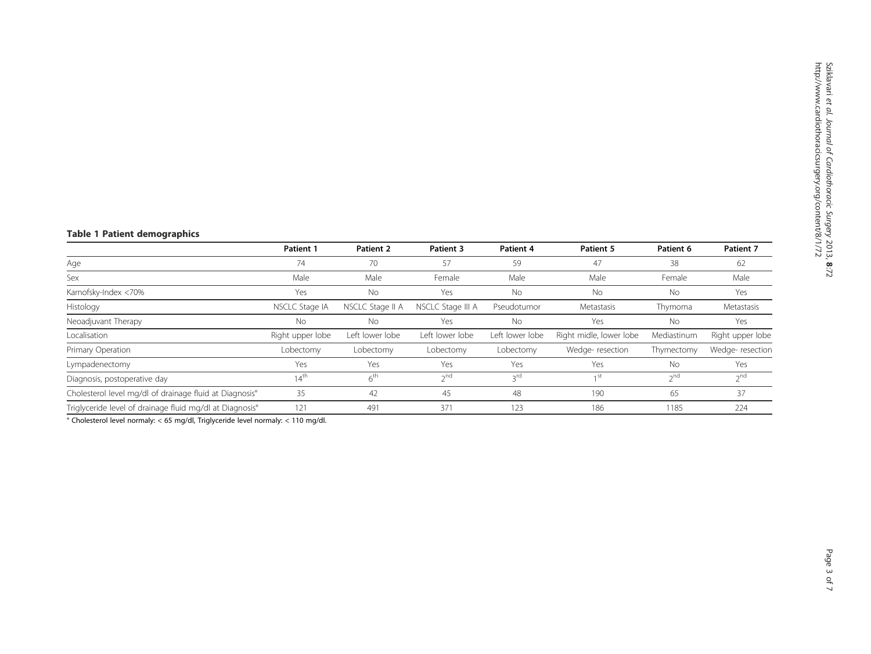### Table 1 Patient demographics

|                                                          | Patient 1        | Patient 2        | <b>Patient 3</b>  | Patient 4       | <b>Patient 5</b>        | Patient 6   | Patient 7        |
|----------------------------------------------------------|------------------|------------------|-------------------|-----------------|-------------------------|-------------|------------------|
| Age                                                      | 74               | 70               | 57                | 59              | 47                      | 38          | 62               |
| Sex                                                      | Male             | Male             | Female            | Male            | Male                    | Female      | Male             |
| Karnofsky-Index <70%                                     | Yes              | <b>No</b>        | Yes               | <b>No</b>       | No                      | <b>No</b>   | Yes              |
| Histology                                                | NSCLC Stage IA   | NSCLC Stage II A | NSCLC Stage III A | Pseudotumor     | Metastasis              | Thymoma     | Metastasis       |
| Neoadjuvant Therapy                                      | <b>No</b>        | <b>No</b>        | Yes               | No              | Yes                     | No          | Yes              |
| Localisation                                             | Right upper lobe | Left lower lobe  | Left lower lobe   | Left lower lobe | Right midle, lower lobe | Mediastinum | Right upper lobe |
| Primary Operation                                        | Lobectomy        | Lobectomy        | Lobectomy         | Lobectomy       | Wedge-resection         | Thymectomy  | Wedge-resection  |
| Lympadenectomy                                           | Yes              | Yes              | Yes               | Yes             | Yes                     | No          | Yes              |
| Diagnosis, postoperative day                             | 14 <sup>th</sup> | 6 <sup>th</sup>  | $2^{nd}$          | 3rd             | 1 <sup>st</sup>         | $2^{nd}$    | 2 <sup>nd</sup>  |
| Cholesterol level mg/dl of drainage fluid at Diagnosis°  | 35               | 42               | 45                | 48              | 190                     | 65          | 37               |
| Triglyceride level of drainage fluid mg/dl at Diagnosis° | 121              | 491              | 371               | 123             | 186                     | 1185        | 224              |

° Cholesterol level normaly: < 65 mg/dl, Triglyceride level normaly: < 110 mg/dl.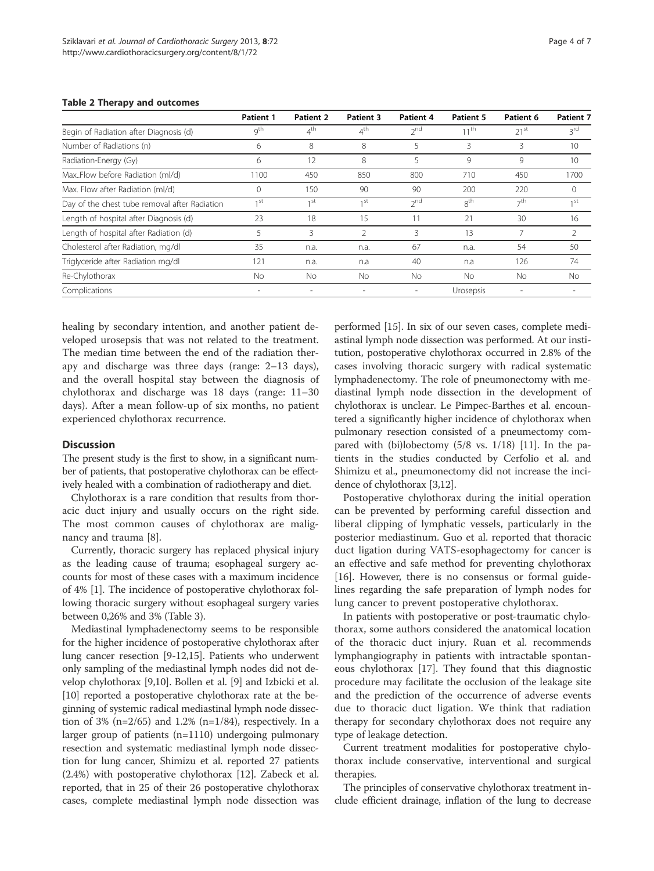|                                               | <b>Patient 1</b>  | Patient 2       | Patient 3         | Patient 4                | Patient 5        | Patient 6 | Patient 7       |
|-----------------------------------------------|-------------------|-----------------|-------------------|--------------------------|------------------|-----------|-----------------|
| Begin of Radiation after Diagnosis (d)        | g <sup>th</sup>   | $4^{\text{th}}$ | $4^{\text{th}}$   | $2^{nd}$                 | $11^{\text{th}}$ | $21^{st}$ | $3^{\text{rd}}$ |
| Number of Radiations (n)                      | 6                 | 8               | 8                 | 5                        | 3                | 3         | 10              |
| Radiation-Energy (Gy)                         | 6                 | 12              | 8                 | 5                        | 9                | 9         | 10              |
| MaxFlow before Radiation (ml/d)               | 1100              | 450             | 850               | 800                      | 710              | 450       | 1700            |
| Max. Flow after Radiation (ml/d)              | $\Omega$          | 150             | 90                | 90                       | 200              | 220       | $\Omega$        |
| Day of the chest tube removal after Radiation | 1 <sub>1</sub> st | 1 st            | 1 <sub>1</sub> st | $2^{nd}$                 | 8 <sup>th</sup>  | $\neg$ th | 1 <sup>st</sup> |
| Length of hospital after Diagnosis (d)        | 23                | 18              | 15                | 11                       | 21               | 30        | 16              |
| Length of hospital after Radiation (d)        | 5                 | 3               | $\mathcal{P}$     | 3                        | 13               |           | $\mathfrak{D}$  |
| Cholesterol after Radiation, mg/dl            | 35                | n.a.            | n.a.              | 67                       | n.a.             | 54        | 50              |
| Triglyceride after Radiation mg/dl            | 121               | n.a.            | n.a               | 40                       | n.a              | 126       | 74              |
| Re-Chylothorax                                | <b>No</b>         | No.             | <b>No</b>         | <b>No</b>                | No.              | <b>No</b> | No              |
| Complications                                 |                   |                 |                   | $\overline{\phantom{a}}$ | Urosepsis        |           |                 |

#### Table 2 Therapy and outcomes

healing by secondary intention, and another patient developed urosepsis that was not related to the treatment. The median time between the end of the radiation therapy and discharge was three days (range: 2–13 days), and the overall hospital stay between the diagnosis of chylothorax and discharge was 18 days (range: 11–30 days). After a mean follow-up of six months, no patient experienced chylothorax recurrence.

#### **Discussion**

The present study is the first to show, in a significant number of patients, that postoperative chylothorax can be effectively healed with a combination of radiotherapy and diet.

Chylothorax is a rare condition that results from thoracic duct injury and usually occurs on the right side. The most common causes of chylothorax are malignancy and trauma [8].

Currently, thoracic surgery has replaced physical injury as the leading cause of trauma; esophageal surgery accounts for most of these cases with a maximum incidence of 4% [1]. The incidence of postoperative chylothorax following thoracic surgery without esophageal surgery varies between 0,26% and 3% (Table 3).

Mediastinal lymphadenectomy seems to be responsible for the higher incidence of postoperative chylothorax after lung cancer resection [9-12,15]. Patients who underwent only sampling of the mediastinal lymph nodes did not develop chylothorax [9,10]. Bollen et al. [9] and Izbicki et al. [10] reported a postoperative chylothorax rate at the beginning of systemic radical mediastinal lymph node dissection of 3% (n=2/65) and 1.2% (n=1/84), respectively. In a larger group of patients (n=1110) undergoing pulmonary resection and systematic mediastinal lymph node dissection for lung cancer, Shimizu et al. reported 27 patients (2.4%) with postoperative chylothorax [12]. Zabeck et al. reported, that in 25 of their 26 postoperative chylothorax cases, complete mediastinal lymph node dissection was

performed [15]. In six of our seven cases, complete mediastinal lymph node dissection was performed. At our institution, postoperative chylothorax occurred in 2.8% of the cases involving thoracic surgery with radical systematic lymphadenectomy. The role of pneumonectomy with mediastinal lymph node dissection in the development of chylothorax is unclear. Le Pimpec-Barthes et al. encountered a significantly higher incidence of chylothorax when pulmonary resection consisted of a pneumectomy compared with (bi)lobectomy (5/8 vs. 1/18) [11]. In the patients in the studies conducted by Cerfolio et al. and Shimizu et al., pneumonectomy did not increase the incidence of chylothorax [3,12].

Postoperative chylothorax during the initial operation can be prevented by performing careful dissection and liberal clipping of lymphatic vessels, particularly in the posterior mediastinum. Guo et al. reported that thoracic duct ligation during VATS-esophagectomy for cancer is an effective and safe method for preventing chylothorax [16]. However, there is no consensus or formal guidelines regarding the safe preparation of lymph nodes for lung cancer to prevent postoperative chylothorax.

In patients with postoperative or post-traumatic chylothorax, some authors considered the anatomical location of the thoracic duct injury. Ruan et al. recommends lymphangiography in patients with intractable spontaneous chylothorax [17]. They found that this diagnostic procedure may facilitate the occlusion of the leakage site and the prediction of the occurrence of adverse events due to thoracic duct ligation. We think that radiation therapy for secondary chylothorax does not require any type of leakage detection.

Current treatment modalities for postoperative chylothorax include conservative, interventional and surgical therapies.

The principles of conservative chylothorax treatment include efficient drainage, inflation of the lung to decrease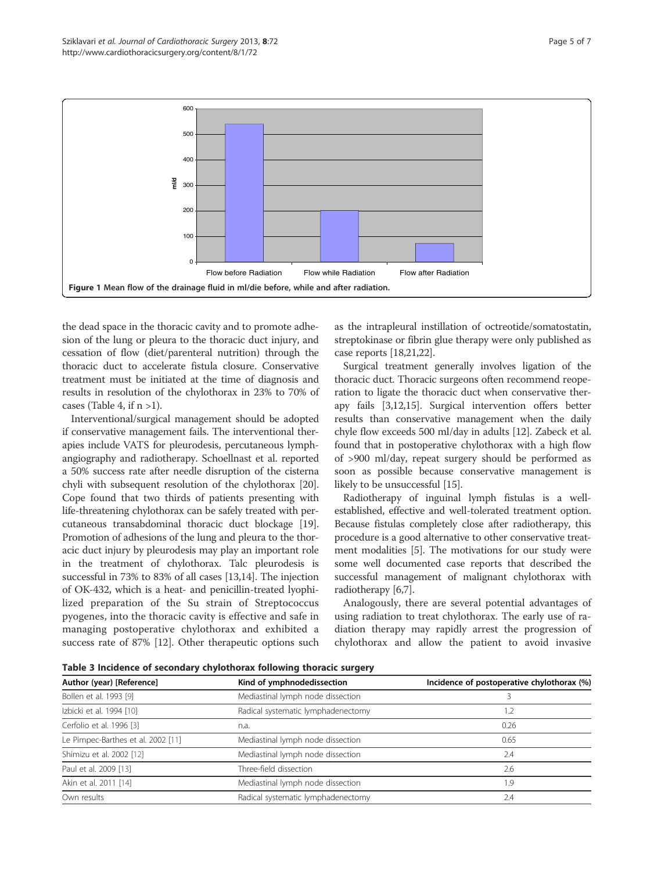

the dead space in the thoracic cavity and to promote adhesion of the lung or pleura to the thoracic duct injury, and cessation of flow (diet/parenteral nutrition) through the thoracic duct to accelerate fistula closure. Conservative treatment must be initiated at the time of diagnosis and results in resolution of the chylothorax in 23% to 70% of cases (Table 4, if  $n > 1$ ).

Interventional/surgical management should be adopted if conservative management fails. The interventional therapies include VATS for pleurodesis, percutaneous lymphangiography and radiotherapy. Schoellnast et al. reported a 50% success rate after needle disruption of the cisterna chyli with subsequent resolution of the chylothorax [20]. Cope found that two thirds of patients presenting with life-threatening chylothorax can be safely treated with percutaneous transabdominal thoracic duct blockage [19]. Promotion of adhesions of the lung and pleura to the thoracic duct injury by pleurodesis may play an important role in the treatment of chylothorax. Talc pleurodesis is successful in 73% to 83% of all cases [13,14]. The injection of OK-432, which is a heat- and penicillin-treated lyophilized preparation of the Su strain of Streptococcus pyogenes, into the thoracic cavity is effective and safe in managing postoperative chylothorax and exhibited a success rate of 87% [12]. Other therapeutic options such as the intrapleural instillation of octreotide/somatostatin, streptokinase or fibrin glue therapy were only published as case reports [18,21,22].

Surgical treatment generally involves ligation of the thoracic duct. Thoracic surgeons often recommend reoperation to ligate the thoracic duct when conservative therapy fails [3,12,15]. Surgical intervention offers better results than conservative management when the daily chyle flow exceeds 500 ml/day in adults [12]. Zabeck et al. found that in postoperative chylothorax with a high flow of >900 ml/day, repeat surgery should be performed as soon as possible because conservative management is likely to be unsuccessful [15].

Radiotherapy of inguinal lymph fistulas is a wellestablished, effective and well-tolerated treatment option. Because fistulas completely close after radiotherapy, this procedure is a good alternative to other conservative treatment modalities [5]. The motivations for our study were some well documented case reports that described the successful management of malignant chylothorax with radiotherapy [6,7].

Analogously, there are several potential advantages of using radiation to treat chylothorax. The early use of radiation therapy may rapidly arrest the progression of chylothorax and allow the patient to avoid invasive

Table 3 Incidence of secondary chylothorax following thoracic surgery

| Author (year) [Reference]          | Kind of ymphnodedissection         | Incidence of postoperative chylothorax (%) |  |  |
|------------------------------------|------------------------------------|--------------------------------------------|--|--|
| Bollen et al. 1993 [9]             | Mediastinal lymph node dissection  |                                            |  |  |
| Izbicki et al. 1994 [10]           | Radical systematic lymphadenectomy | .2                                         |  |  |
| Cerfolio et al. 1996 [3]           | n.a.                               | 0.26                                       |  |  |
| Le Pimpec-Barthes et al. 2002 [11] | Mediastinal lymph node dissection  | 0.65                                       |  |  |
| Shimizu et al. 2002 [12]           | Mediastinal lymph node dissection  | 2.4                                        |  |  |
| Paul et al. 2009 [13]              | Three-field dissection             | 2.6                                        |  |  |
| Akin et al. 2011 [14]              | Mediastinal lymph node dissection  | .9                                         |  |  |
| Own results                        | Radical systematic lymphadenectomy | 2.4                                        |  |  |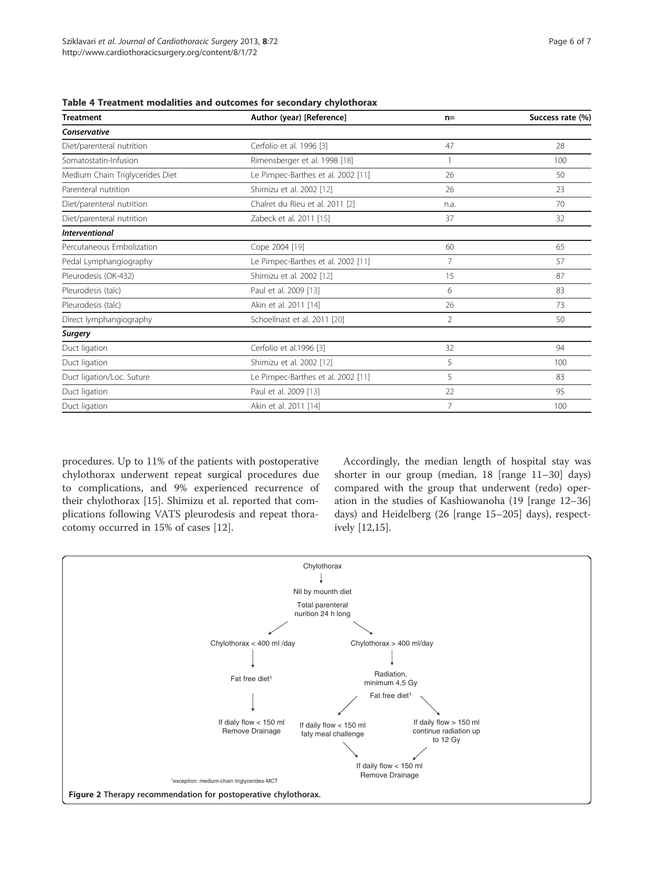| <b>Treatment</b>                | Author (year) [Reference]          | $n=$           | Success rate (%) |  |
|---------------------------------|------------------------------------|----------------|------------------|--|
| Conservative                    |                                    |                |                  |  |
| Diet/parenteral nutrition       | Cerfolio et al. 1996 [3]           | 47             | 28               |  |
| Somatostatin-Infusion           | Rimensberger et al. 1998 [18]      |                | 100              |  |
| Medium Chain Triglycerides Diet | Le Pimpec-Barthes et al. 2002 [11] | 26             | 50               |  |
| Parenteral nutrition            | Shimizu et al. 2002 [12]           | 26             | 23               |  |
| Diet/parenteral nutrition       | Chalret du Rieu et al. 2011 [2]    | n.a.           | 70               |  |
| Diet/parenteral nutrition       | Zabeck et al. 2011 [15]            | 37             | 32               |  |
| <b>Interventional</b>           |                                    |                |                  |  |
| Percutaneous Embolization       | Cope 2004 [19]                     | 60             | 65               |  |
| Pedal Lymphangiography          | Le Pimpec-Barthes et al. 2002 [11] | $\overline{7}$ | 57               |  |
| Pleurodesis (OK-432)            | Shimizu et al. 2002 [12]           | 15             | 87               |  |
| Pleurodesis (talc)              | Paul et al. 2009 [13]              | 6              | 83               |  |
| Pleurodesis (talc)              | Akin et al. 2011 [14]              | 26             | 73               |  |
| Direct lymphangiography         | Schoellnast et al. 2011 [20]       | $\overline{2}$ | 50               |  |
| Surgery                         |                                    |                |                  |  |
| Duct ligation                   | Cerfolio et al.1996 [3]            | 32             | 94               |  |
| Duct ligation                   | Shimizu et al. 2002 [12]           | 5              | 100              |  |
| Duct ligation/Loc. Suture       | Le Pimpec-Barthes et al. 2002 [11] | 5              | 83               |  |
| Duct ligation                   | Paul et al. 2009 [13]              | 22             | 95               |  |
| Duct ligation                   | Akin et al. 2011 [14]              | 7              | 100              |  |

Table 4 Treatment modalities and outcomes for secondary chylothorax

procedures. Up to 11% of the patients with postoperative chylothorax underwent repeat surgical procedures due to complications, and 9% experienced recurrence of their chylothorax [15]. Shimizu et al. reported that complications following VATS pleurodesis and repeat thoracotomy occurred in 15% of cases [12].

Accordingly, the median length of hospital stay was shorter in our group (median, 18 [range 11–30] days) compared with the group that underwent (redo) operation in the studies of Kashiowanoha (19 [range 12–36] days) and Heidelberg (26 [range 15–205] days), respectively [12,15].